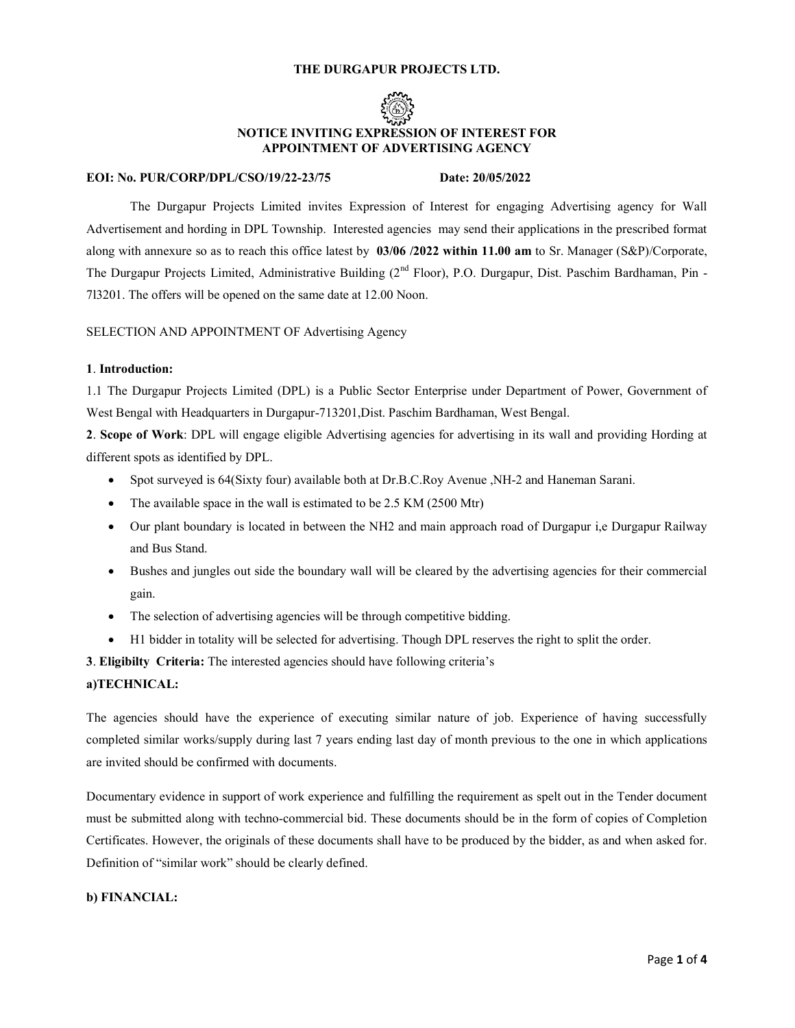## THE DURGAPUR PROJECTS LTD.



# NOTICE INVITING EXPRESSION OF INTEREST FOR APPOINTMENT OF ADVERTISING AGENCY

## EOI: No. PUR/CORP/DPL/CSO/19/22-23/75 Date: 20/05/2022

The Durgapur Projects Limited invites Expression of Interest for engaging Advertising agency for Wall Advertisement and hording in DPL Township. Interested agencies may send their applications in the prescribed format along with annexure so as to reach this office latest by 03/06 /2022 within 11.00 am to Sr. Manager (S&P)/Corporate, The Durgapur Projects Limited, Administrative Building (2<sup>nd</sup> Floor), P.O. Durgapur, Dist. Paschim Bardhaman, Pin -7l3201. The offers will be opened on the same date at 12.00 Noon.

SELECTION AND APPOINTMENT OF Advertising Agency

# 1. Introduction:

1.1 The Durgapur Projects Limited (DPL) is a Public Sector Enterprise under Department of Power, Government of West Bengal with Headquarters in Durgapur-713201,Dist. Paschim Bardhaman, West Bengal.

2. Scope of Work: DPL will engage eligible Advertising agencies for advertising in its wall and providing Hording at different spots as identified by DPL.

- Spot surveyed is 64(Sixty four) available both at Dr.B.C.Roy Avenue ,NH-2 and Haneman Sarani.
- The available space in the wall is estimated to be 2.5 KM (2500 Mtr)
- Our plant boundary is located in between the NH2 and main approach road of Durgapur i,e Durgapur Railway and Bus Stand.
- Bushes and jungles out side the boundary wall will be cleared by the advertising agencies for their commercial gain.
- The selection of advertising agencies will be through competitive bidding.
- H1 bidder in totality will be selected for advertising. Though DPL reserves the right to split the order.

3. Eligibilty Criteria: The interested agencies should have following criteria's

## a)TECHNICAL:

The agencies should have the experience of executing similar nature of job. Experience of having successfully completed similar works/supply during last 7 years ending last day of month previous to the one in which applications are invited should be confirmed with documents.

Documentary evidence in support of work experience and fulfilling the requirement as spelt out in the Tender document must be submitted along with techno-commercial bid. These documents should be in the form of copies of Completion Certificates. However, the originals of these documents shall have to be produced by the bidder, as and when asked for. Definition of "similar work" should be clearly defined.

# b) FINANCIAL: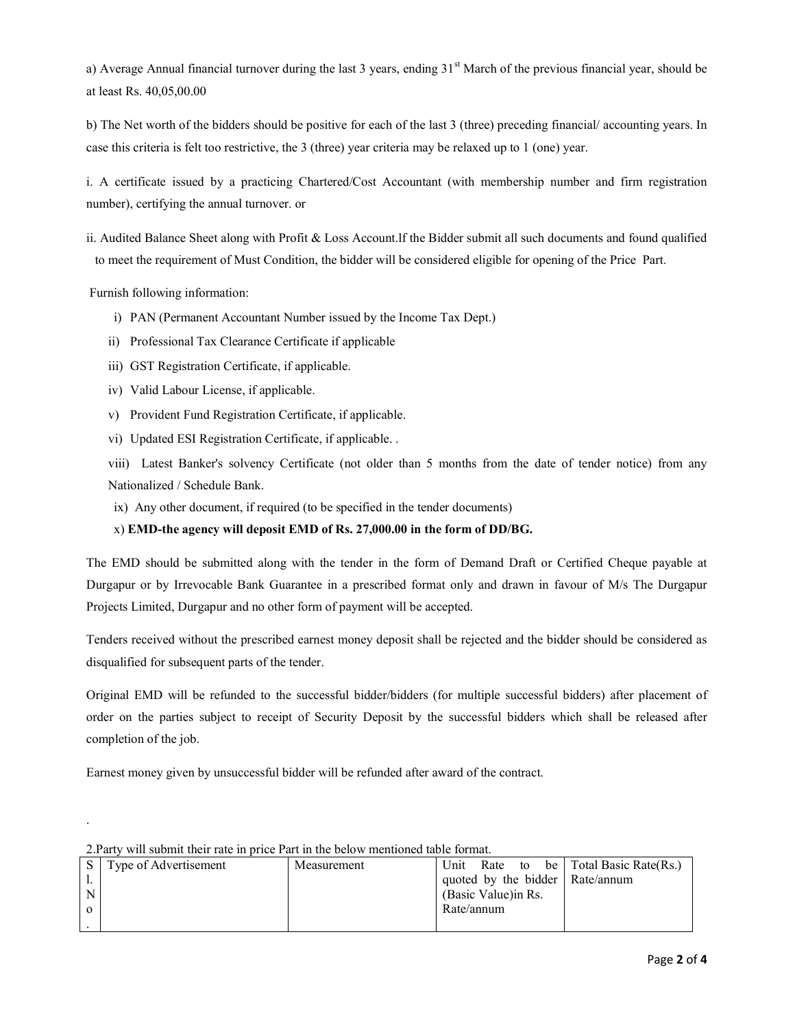a) Average Annual financial turnover during the last 3 years, ending  $31<sup>st</sup>$  March of the previous financial year, should be at least Rs. 40,05,00.00

b) The Net worth of the bidders should be positive for each of the last 3 (three) preceding financial/ accounting years. In case this criteria is felt too restrictive, the 3 (three) year criteria may be relaxed up to 1 (one) year.

i. A certificate issued by a practicing Chartered/Cost Accountant (with membership number and firm registration number), certifying the annual turnover. or

ii. Audited Balance Sheet along with Profit & Loss Account.lf the Bidder submit all such documents and found qualified to meet the requirement of Must Condition, the bidder will be considered eligible for opening of the Price Part.

Furnish following information:

.

- i) PAN (Permanent Accountant Number issued by the Income Tax Dept.)
- ii) Professional Tax Clearance Certificate if applicable
- iii) GST Registration Certificate, if applicable.
- iv) Valid Labour License, if applicable.
- v) Provident Fund Registration Certificate, if applicable.
- vi) Updated ESI Registration Certificate, if applicable. .

viii) Latest Banker's solvency Certificate (not older than 5 months from the date of tender notice) from any Nationalized / Schedule Bank.

ix) Any other document, if required (to be specified in the tender documents)

# x) EMD-the agency will deposit EMD of Rs. 27,000.00 in the form of DD/BG.

The EMD should be submitted along with the tender in the form of Demand Draft or Certified Cheque payable at Durgapur or by Irrevocable Bank Guarantee in a prescribed format only and drawn in favour of M/s The Durgapur Projects Limited, Durgapur and no other form of payment will be accepted.

Tenders received without the prescribed earnest money deposit shall be rejected and the bidder should be considered as disqualified for subsequent parts of the tender.

Original EMD will be refunded to the successful bidder/bidders (for multiple successful bidders) after placement of order on the parties subject to receipt of Security Deposit by the successful bidders which shall be released after completion of the job.

Earnest money given by unsuccessful bidder will be refunded after award of the contract.

| 2. Party will submit their rate in brice Part in the below members able format. |                       |  |             |            |                      |  |  |                                       |  |  |
|---------------------------------------------------------------------------------|-----------------------|--|-------------|------------|----------------------|--|--|---------------------------------------|--|--|
|                                                                                 | Type of Advertisement |  | Measurement |            |                      |  |  | Unit Rate to be Total Basic Rate(Rs.) |  |  |
|                                                                                 |                       |  |             |            |                      |  |  | quoted by the bidder Rate/annum       |  |  |
|                                                                                 |                       |  |             |            | (Basic Value) in Rs. |  |  |                                       |  |  |
|                                                                                 |                       |  |             | Rate/annum |                      |  |  |                                       |  |  |
|                                                                                 |                       |  |             |            |                      |  |  |                                       |  |  |

2.Party will submit their rate in price Part in the below mentioned table format.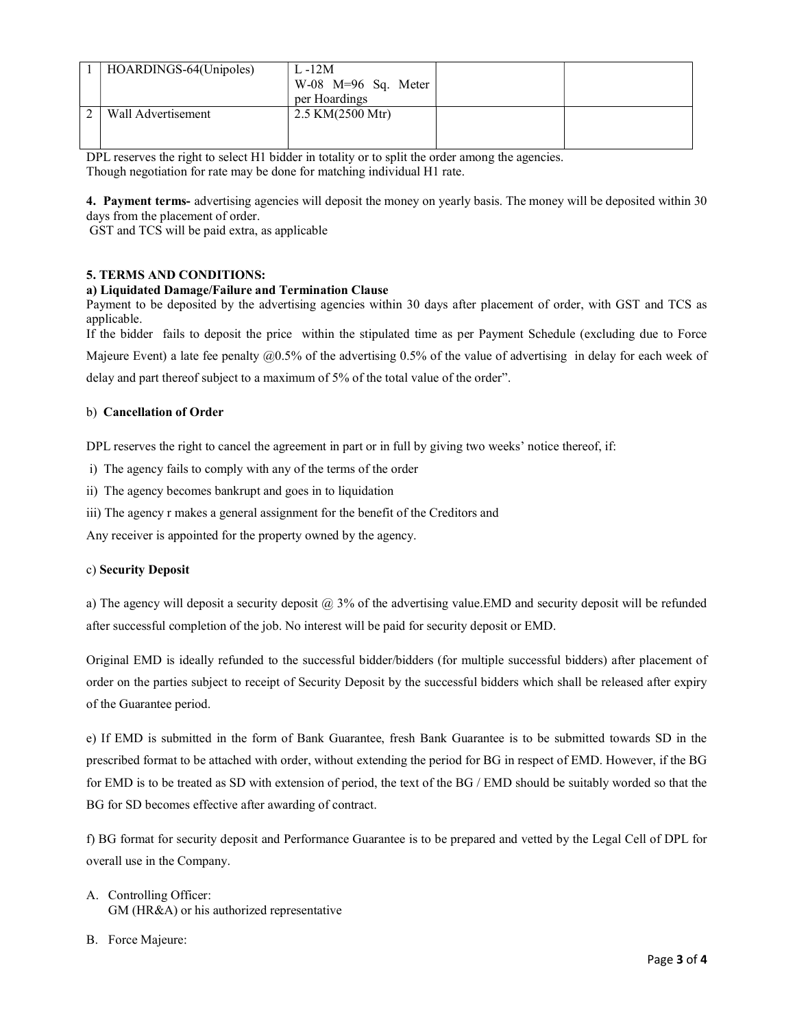| HOARDINGS-64(Unipoles) | $L - 12M$<br>$W-08$ M=96 Sq. Meter<br>per Hoardings |  |
|------------------------|-----------------------------------------------------|--|
| Wall Advertisement     | 2.5 KM $(2500 \text{ Mtr})$                         |  |

DPL reserves the right to select H1 bidder in totality or to split the order among the agencies. Though negotiation for rate may be done for matching individual H1 rate.

4. Payment terms- advertising agencies will deposit the money on yearly basis. The money will be deposited within 30 days from the placement of order.

GST and TCS will be paid extra, as applicable

# 5. TERMS AND CONDITIONS:

# a) Liquidated Damage/Failure and Termination Clause

Payment to be deposited by the advertising agencies within 30 days after placement of order, with GST and TCS as applicable.

If the bidder fails to deposit the price within the stipulated time as per Payment Schedule (excluding due to Force

Majeure Event) a late fee penalty @0.5% of the advertising 0.5% of the value of advertising in delay for each week of

delay and part thereof subject to a maximum of 5% of the total value of the order".

## b) Cancellation of Order

DPL reserves the right to cancel the agreement in part or in full by giving two weeks' notice thereof, if:

- i) The agency fails to comply with any of the terms of the order
- ii) The agency becomes bankrupt and goes in to liquidation
- iii) The agency r makes a general assignment for the benefit of the Creditors and

Any receiver is appointed for the property owned by the agency.

## c) Security Deposit

a) The agency will deposit a security deposit  $\omega$  3% of the advertising value. EMD and security deposit will be refunded after successful completion of the job. No interest will be paid for security deposit or EMD.

Original EMD is ideally refunded to the successful bidder/bidders (for multiple successful bidders) after placement of order on the parties subject to receipt of Security Deposit by the successful bidders which shall be released after expiry of the Guarantee period.

e) If EMD is submitted in the form of Bank Guarantee, fresh Bank Guarantee is to be submitted towards SD in the prescribed format to be attached with order, without extending the period for BG in respect of EMD. However, if the BG for EMD is to be treated as SD with extension of period, the text of the BG / EMD should be suitably worded so that the BG for SD becomes effective after awarding of contract.

f) BG format for security deposit and Performance Guarantee is to be prepared and vetted by the Legal Cell of DPL for overall use in the Company.

- A. Controlling Officer: GM (HR&A) or his authorized representative
- B. Force Majeure: